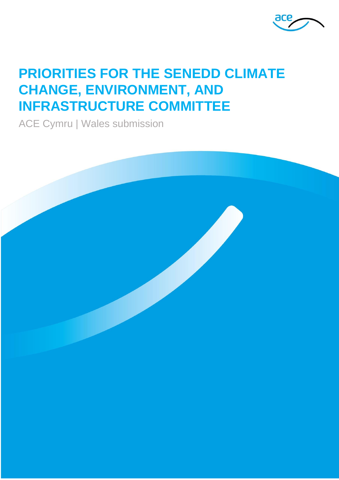

# **PRIORITIES FOR THE SENEDD CLIMATE CHANGE, ENVIRONMENT, AND INFRASTRUCTURE COMMITTEE**

ACE Cymru | Wales submission

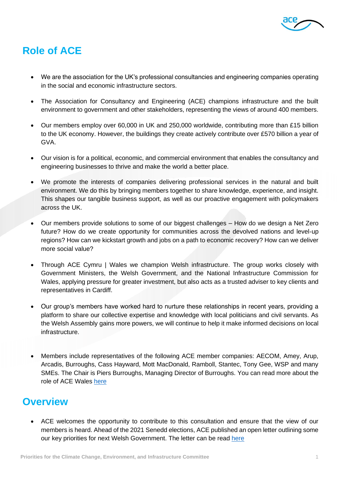

# **Role of ACE**

- We are the association for the UK's professional consultancies and engineering companies operating in the social and economic infrastructure sectors.
- The Association for Consultancy and Engineering (ACE) champions infrastructure and the built environment to government and other stakeholders, representing the views of around 400 members.
- Our members employ over 60,000 in UK and 250,000 worldwide, contributing more than £15 billion to the UK economy. However, the buildings they create actively contribute over £570 billion a year of GVA.
- Our vision is for a political, economic, and commercial environment that enables the consultancy and engineering businesses to thrive and make the world a better place.
- We promote the interests of companies delivering professional services in the natural and built environment. We do this by bringing members together to share knowledge, experience, and insight. This shapes our tangible business support, as well as our proactive engagement with policymakers across the UK.
- Our members provide solutions to some of our biggest challenges How do we design a Net Zero future? How do we create opportunity for communities across the devolved nations and level-up regions? How can we kickstart growth and jobs on a path to economic recovery? How can we deliver more social value?
- Through ACE Cymru | Wales we champion Welsh infrastructure. The group works closely with Government Ministers, the Welsh Government, and the National Infrastructure Commission for Wales, applying pressure for greater investment, but also acts as a trusted adviser to key clients and representatives in Cardiff.
- Our group's members have worked hard to nurture these relationships in recent years, providing a platform to share our collective expertise and knowledge with local politicians and civil servants. As the Welsh Assembly gains more powers, we will continue to help it make informed decisions on local infrastructure.
- Members include representatives of the following ACE member companies: AECOM, Amey, Arup, Arcadis, Burroughs, Cass Hayward, Mott MacDonald, Ramboll, Stantec, Tony Gee, WSP and many SMEs. The Chair is Piers Burroughs, Managing Director of Burroughs. You can read more about the role of ACE Wales [here](https://www.acenet.co.uk/groups/cymru-wales/)

# **Overview**

• ACE welcomes the opportunity to contribute to this consultation and ensure that the view of our members is heard. Ahead of the 2021 Senedd elections, ACE published an open letter outlining some our key priorities for next Welsh Government. The letter can be read [here](https://www.acenet.co.uk/media/7039/open-letters-2021-elections-wales.pdf)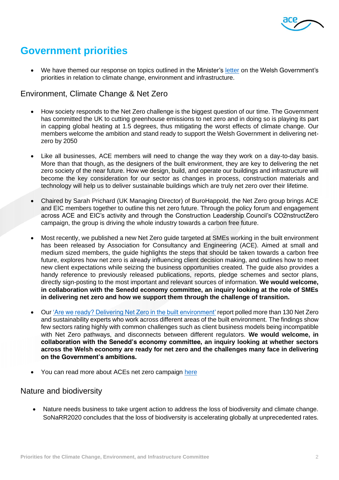

# **Government priorities**

• We have themed our response on topics outlined in the Minister's [letter](https://business.senedd.wales/documents/s116925/Letter%20from%20the%20Minister%20and%20Deputy%20Minister%20for%20Climate%20Change%20on%20the%20Welsh%20Governments%20priorities.pdf) on the Welsh Government's priorities in relation to climate change, environment and infrastructure.

### Environment, Climate Change & Net Zero

- How society responds to the Net Zero challenge is the biggest question of our time. The Government has committed the UK to cutting greenhouse emissions to net zero and in doing so is playing its part in capping global heating at 1.5 degrees, thus mitigating the worst effects of climate change. Our members welcome the ambition and stand ready to support the Welsh Government in delivering netzero by 2050
- Like all businesses, ACE members will need to change the way they work on a day-to-day basis. More than that though, as the designers of the built environment, they are key to delivering the net zero society of the near future. How we design, build, and operate our buildings and infrastructure will become the key consideration for our sector as changes in process, construction materials and technology will help us to deliver sustainable buildings which are truly net zero over their lifetime.
- Chaired by Sarah Prichard (UK Managing Director) of BuroHappold, the Net Zero group brings ACE and EIC members together to outline this net zero future. Through the policy forum and engagement across ACE and EIC's activity and through the Construction Leadership Council's CO2nstructZero campaign, the group is driving the whole industry towards a carbon free future.
- Most recently, we published a new Net Zero guide targeted at SMEs working in the built environment has been released by Association for Consultancy and Engineering (ACE). Aimed at small and medium sized members, the guide highlights the steps that should be taken towards a carbon free future, explores how net zero is already influencing client decision making, and outlines how to meet new client expectations while seizing the business opportunities created. The guide also provides a handy reference to previously released publications, reports, pledge schemes and sector plans, directly sign-posting to the most important and relevant sources of information. **We would welcome, in collaboration with the Senedd economy committee, an inquiry looking at the role of SMEs in delivering net zero and how we support them through the challenge of transition.**
- Our ['Are we ready? Delivering Net Zero in the built environment'](https://www.acenet.co.uk/media/6444/are-we-ready-delivering-net-zero-in-the-built-environment.pdf) report polled more than 130 Net Zero and sustainability experts who work across different areas of the built environment. The findings show few sectors rating highly with common challenges such as client business models being incompatible with Net Zero pathways, and disconnects between different regulators. **We would welcome, in collaboration with the Senedd's economy committee, an inquiry looking at whether sectors across the Welsh economy are ready for net zero and the challenges many face in delivering on the Government's ambitions.**
- You can read more about ACEs net zero campaign [here](https://www.acenet.co.uk/campaigns/net-zero/)

### Nature and biodiversity

• Nature needs business to take urgent action to address the loss of biodiversity and climate change. SoNaRR2020 concludes that the loss of biodiversity is accelerating globally at unprecedented rates.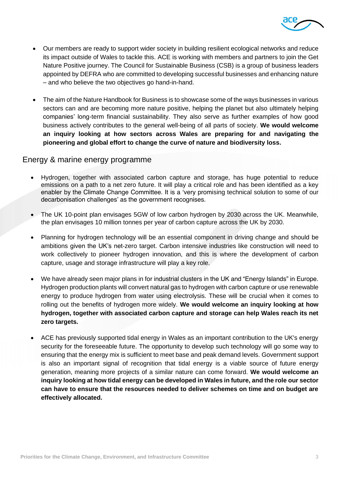

- Our members are ready to support wider society in building resilient ecological networks and reduce its impact outside of Wales to tackle this. ACE is working with members and partners to join the Get Nature Positive journey. The Council for Sustainable Business (CSB) is a group of business leaders appointed by DEFRA who are committed to developing successful businesses and enhancing nature – and who believe the two objectives go hand-in-hand.
- The aim of the Nature Handbook for Business is to showcase some of the ways businesses in various sectors can and are becoming more nature positive, helping the planet but also ultimately helping companies' long-term financial sustainability. They also serve as further examples of how good business actively contributes to the general well-being of all parts of society. **We would welcome an inquiry looking at how sectors across Wales are preparing for and navigating the pioneering and global effort to change the curve of nature and biodiversity loss.**

#### Energy & marine energy programme

- Hydrogen, together with associated carbon capture and storage, has huge potential to reduce emissions on a path to a net zero future. It will play a critical role and has been identified as a key enabler by the Climate Change Committee. It is a 'very promising technical solution to some of our decarbonisation challenges' as the government recognises.
- The UK 10-point plan envisages 5GW of low carbon hydrogen by 2030 across the UK. Meanwhile, the plan envisages 10 million tonnes per year of carbon capture across the UK by 2030.
- Planning for hydrogen technology will be an essential component in driving change and should be ambitions given the UK's net-zero target. Carbon intensive industries like construction will need to work collectively to pioneer hydrogen innovation, and this is where the development of carbon capture, usage and storage infrastructure will play a key role.
- We have already seen major plans in for industrial clusters in the UK and "Energy Islands" in Europe. Hydrogen production plants will convert natural gas to hydrogen with carbon capture or use renewable energy to produce hydrogen from water using electrolysis. These will be crucial when it comes to rolling out the benefits of hydrogen more widely. **We would welcome an inquiry looking at how hydrogen, together with associated carbon capture and storage can help Wales reach its net zero targets.**
- ACE has previously supported tidal energy in Wales as an important contribution to the UK's energy security for the foreseeable future. The opportunity to develop such technology will go some way to ensuring that the energy mix is sufficient to meet base and peak demand levels. Government support is also an important signal of recognition that tidal energy is a viable source of future energy generation, meaning more projects of a similar nature can come forward. **We would welcome an inquiry looking at how tidal energy can be developed in Wales in future, and the role our sector can have to ensure that the resources needed to deliver schemes on time and on budget are effectively allocated.**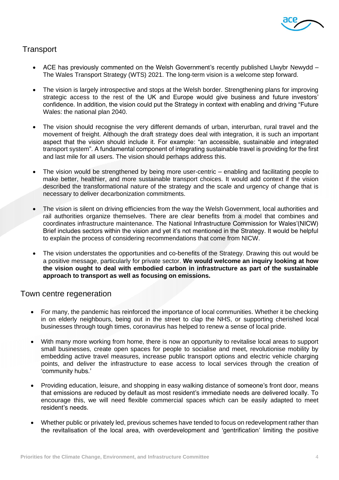

## **Transport**

- ACE has previously commented on the Welsh Government's recently published Llwybr Newydd The Wales Transport Strategy (WTS) 2021. The long-term vision is a welcome step forward.
- The vision is largely introspective and stops at the Welsh border. Strengthening plans for improving strategic access to the rest of the UK and Europe would give business and future investors' confidence. In addition, the vision could put the Strategy in context with enabling and driving "Future Wales: the national plan 2040.
- The vision should recognise the very different demands of urban, interurban, rural travel and the movement of freight. Although the draft strategy does deal with integration, it is such an important aspect that the vision should include it. For example: "an accessible, sustainable and integrated transport system". A fundamental component of integrating sustainable travel is providing for the first and last mile for all users. The vision should perhaps address this.
- The vision would be strengthened by being more user-centric enabling and facilitating people to make better, healthier, and more sustainable transport choices. It would add context if the vision described the transformational nature of the strategy and the scale and urgency of change that is necessary to deliver decarbonization commitments.
- The vision is silent on driving efficiencies from the way the Welsh Government, local authorities and rail authorities organize themselves. There are clear benefits from a model that combines and coordinates infrastructure maintenance. The National Infrastructure Commission for Wales'(NICW) Brief includes sectors within the vision and yet it's not mentioned in the Strategy. It would be helpful to explain the process of considering recommendations that come from NICW.
- The vision understates the opportunities and co-benefits of the Strategy. Drawing this out would be a positive message, particularly for private sector. **We would welcome an inquiry looking at how the vision ought to deal with embodied carbon in infrastructure as part of the sustainable approach to transport as well as focusing on emissions.**

### Town centre regeneration

- For many, the pandemic has reinforced the importance of local communities. Whether it be checking in on elderly neighbours, being out in the street to clap the NHS, or supporting cherished local businesses through tough times, coronavirus has helped to renew a sense of local pride.
- With many more working from home, there is now an opportunity to revitalise local areas to support small businesses, create open spaces for people to socialise and meet, revolutionise mobility by embedding active travel measures, increase public transport options and electric vehicle charging points, and deliver the infrastructure to ease access to local services through the creation of 'community hubs.'
- Providing education, leisure, and shopping in easy walking distance of someone's front door, means that emissions are reduced by default as most resident's immediate needs are delivered locally. To encourage this, we will need flexible commercial spaces which can be easily adapted to meet resident's needs.
- Whether public or privately led, previous schemes have tended to focus on redevelopment rather than the revitalisation of the local area, with overdevelopment and 'gentrification' limiting the positive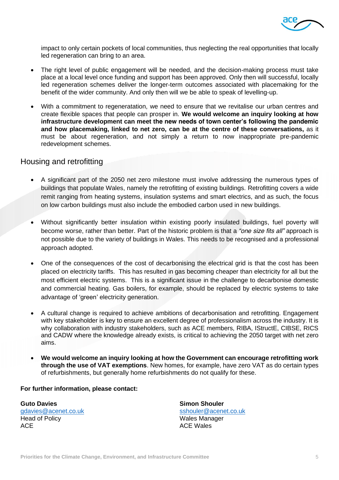

impact to only certain pockets of local communities, thus neglecting the real opportunities that locally led regeneration can bring to an area.

- The right level of public engagement will be needed, and the decision-making process must take place at a local level once funding and support has been approved. Only then will successful, locally led regeneration schemes deliver the longer-term outcomes associated with placemaking for the benefit of the wider community. And only then will we be able to speak of levelling-up.
- With a commitment to regeneratation, we need to ensure that we revitalise our urban centres and create flexible spaces that people can prosper in. **We would welcome an inquiry looking at how infrastructure development can meet the new needs of town center's following the pandemic and how placemaking, linked to net zero, can be at the centre of these conversations,** as it must be about regeneration, and not simply a return to now inappropriate pre-pandemic redevelopment schemes.

#### Housing and retrofitting

- A significant part of the 2050 net zero milestone must involve addressing the numerous types of buildings that populate Wales, namely the retrofitting of existing buildings. Retrofitting covers a wide remit ranging from heating systems, insulation systems and smart electrics, and as such, the focus on low carbon buildings must also include the embodied carbon used in new buildings.
- Without significantly better insulation within existing poorly insulated buildings, fuel poverty will become worse, rather than better. Part of the historic problem is that a *"one size fits all"* approach is not possible due to the variety of buildings in Wales. This needs to be recognised and a professional approach adopted.
- One of the consequences of the cost of decarbonising the electrical grid is that the cost has been placed on electricity tariffs. This has resulted in gas becoming cheaper than electricity for all but the most efficient electric systems. This is a significant issue in the challenge to decarbonise domestic and commercial heating. Gas boilers, for example, should be replaced by electric systems to take advantage of 'green' electricity generation.
- A cultural change is required to achieve ambitions of decarbonisation and retrofitting. Engagement with key stakeholder is key to ensure an excellent degree of professionalism across the industry. It is why collaboration with industry stakeholders, such as ACE members, RIBA, IStructE, CIBSE, RICS and CADW where the knowledge already exists, is critical to achieving the 2050 target with net zero aims.
- **We would welcome an inquiry looking at how the Government can encourage retrofitting work through the use of VAT exemptions**. New homes, for example, have zero VAT as do certain types of refurbishments, but generally home refurbishments do not qualify for these.

#### **For further information, please contact:**

**Guto Davies** [gdavies@acenet.co.uk](mailto:gdavies@acenet.co.uk) Head of Policy ACE

**Simon Shouler** [sshouler@acenet.co.uk](mailto:sshouler@acenet.co.uk) Wales Manager ACE Wales